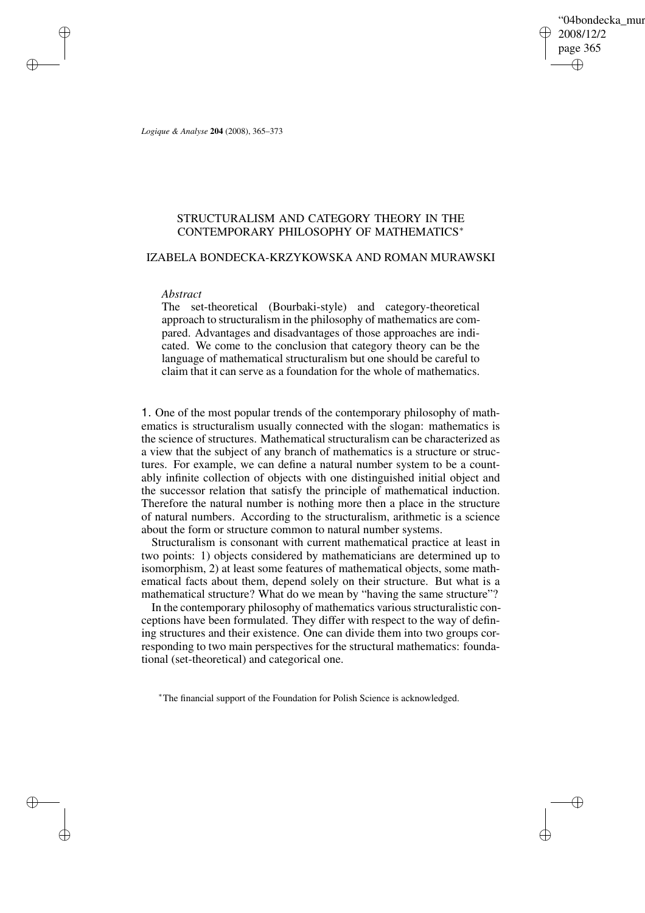'04bondecka\_mur 2008/12/2 page 365 ✐ ✐

✐

✐

*Logique & Analyse* **204** (2008), 365–373

✐

✐

✐

✐

# STRUCTURALISM AND CATEGORY THEORY IN THE CONTEMPORARY PHILOSOPHY OF MATHEMATICS<sup>∗</sup>

## IZABELA BONDECKA-KRZYKOWSKA AND ROMAN MURAWSKI

#### *Abstract*

The set-theoretical (Bourbaki-style) and category-theoretical approach to structuralism in the philosophy of mathematics are compared. Advantages and disadvantages of those approaches are indicated. We come to the conclusion that category theory can be the language of mathematical structuralism but one should be careful to claim that it can serve as a foundation for the whole of mathematics.

1. One of the most popular trends of the contemporary philosophy of mathematics is structuralism usually connected with the slogan: mathematics is the science of structures. Mathematical structuralism can be characterized as a view that the subject of any branch of mathematics is a structure or structures. For example, we can define a natural number system to be a countably infinite collection of objects with one distinguished initial object and the successor relation that satisfy the principle of mathematical induction. Therefore the natural number is nothing more then a place in the structure of natural numbers. According to the structuralism, arithmetic is a science about the form or structure common to natural number systems.

Structuralism is consonant with current mathematical practice at least in two points: 1) objects considered by mathematicians are determined up to isomorphism, 2) at least some features of mathematical objects, some mathematical facts about them, depend solely on their structure. But what is a mathematical structure? What do we mean by "having the same structure"?

In the contemporary philosophy of mathematics various structuralistic conceptions have been formulated. They differ with respect to the way of defining structures and their existence. One can divide them into two groups corresponding to two main perspectives for the structural mathematics: foundational (set-theoretical) and categorical one.

<sup>∗</sup>The financial support of the Foundation for Polish Science is acknowledged.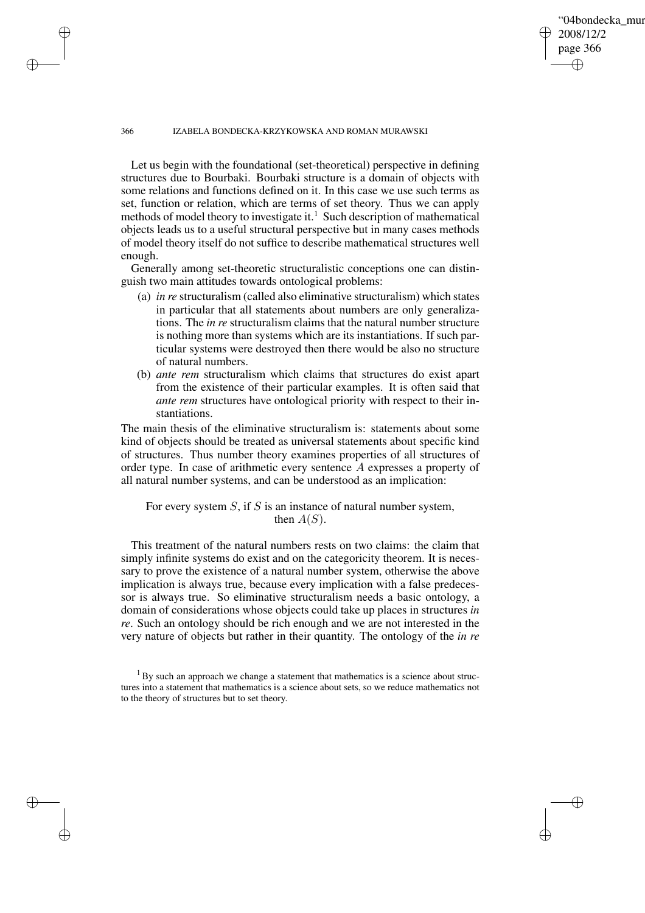## '04bondecka\_mur 2008/12/2 page 366 ✐ ✐

✐

✐

#### 366 IZABELA BONDECKA-KRZYKOWSKA AND ROMAN MURAWSKI

✐

✐

✐

✐

Let us begin with the foundational (set-theoretical) perspective in defining structures due to Bourbaki. Bourbaki structure is a domain of objects with some relations and functions defined on it. In this case we use such terms as set, function or relation, which are terms of set theory. Thus we can apply methods of model theory to investigate it.<sup>1</sup> Such description of mathematical objects leads us to a useful structural perspective but in many cases methods of model theory itself do not suffice to describe mathematical structures well enough.

Generally among set-theoretic structuralistic conceptions one can distinguish two main attitudes towards ontological problems:

- (a) *in re* structuralism (called also eliminative structuralism) which states in particular that all statements about numbers are only generalizations. The *in re* structuralism claims that the natural number structure is nothing more than systems which are its instantiations. If such particular systems were destroyed then there would be also no structure of natural numbers.
- (b) *ante rem* structuralism which claims that structures do exist apart from the existence of their particular examples. It is often said that *ante rem* structures have ontological priority with respect to their instantiations.

The main thesis of the eliminative structuralism is: statements about some kind of objects should be treated as universal statements about specific kind of structures. Thus number theory examines properties of all structures of order type. In case of arithmetic every sentence A expresses a property of all natural number systems, and can be understood as an implication:

For every system  $S$ , if  $S$  is an instance of natural number system, then  $A(S)$ .

This treatment of the natural numbers rests on two claims: the claim that simply infinite systems do exist and on the categoricity theorem. It is necessary to prove the existence of a natural number system, otherwise the above implication is always true, because every implication with a false predecessor is always true. So eliminative structuralism needs a basic ontology, a domain of considerations whose objects could take up places in structures *in re*. Such an ontology should be rich enough and we are not interested in the very nature of objects but rather in their quantity. The ontology of the *in re*

 $<sup>1</sup>$  By such an approach we change a statement that mathematics is a science about struc-</sup> tures into a statement that mathematics is a science about sets, so we reduce mathematics not to the theory of structures but to set theory.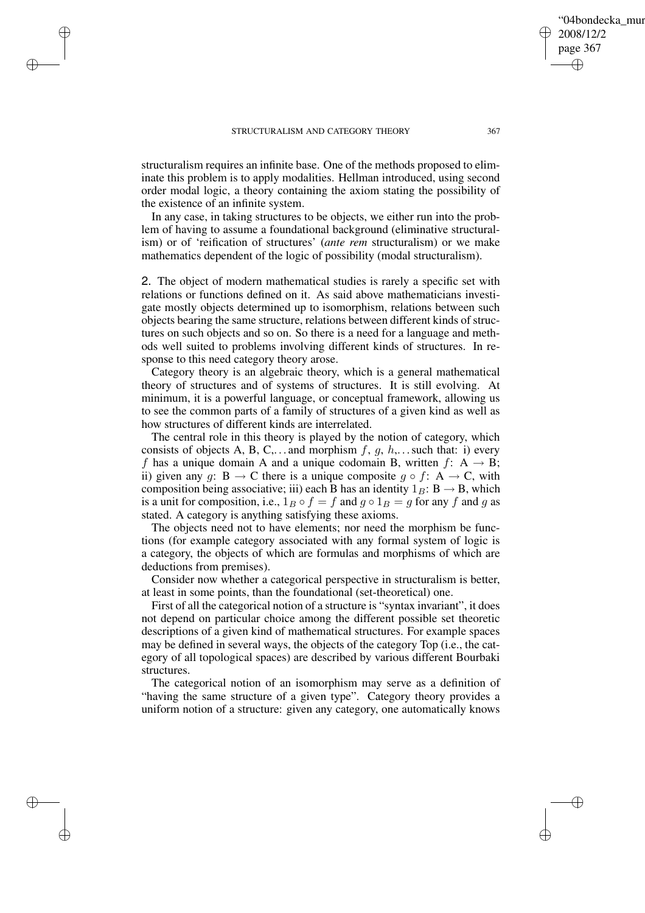✐

✐

✐

structuralism requires an infinite base. One of the methods proposed to eliminate this problem is to apply modalities. Hellman introduced, using second order modal logic, a theory containing the axiom stating the possibility of the existence of an infinite system.

In any case, in taking structures to be objects, we either run into the problem of having to assume a foundational background (eliminative structuralism) or of 'reification of structures' (*ante rem* structuralism) or we make mathematics dependent of the logic of possibility (modal structuralism).

2. The object of modern mathematical studies is rarely a specific set with relations or functions defined on it. As said above mathematicians investigate mostly objects determined up to isomorphism, relations between such objects bearing the same structure, relations between different kinds of structures on such objects and so on. So there is a need for a language and methods well suited to problems involving different kinds of structures. In response to this need category theory arose.

Category theory is an algebraic theory, which is a general mathematical theory of structures and of systems of structures. It is still evolving. At minimum, it is a powerful language, or conceptual framework, allowing us to see the common parts of a family of structures of a given kind as well as how structures of different kinds are interrelated.

The central role in this theory is played by the notion of category, which consists of objects A, B, C,... and morphism  $f, g, h, \ldots$  such that: i) every f has a unique domain A and a unique codomain B, written  $f: A \rightarrow B$ ; ii) given any g: B  $\rightarrow$  C there is a unique composite  $g \circ f: A \rightarrow C$ , with composition being associative; iii) each B has an identity  $1_B: B \rightarrow B$ , which is a unit for composition, i.e.,  $1_B \circ f = f$  and  $g \circ 1_B = g$  for any f and g as stated. A category is anything satisfying these axioms.

The objects need not to have elements; nor need the morphism be functions (for example category associated with any formal system of logic is a category, the objects of which are formulas and morphisms of which are deductions from premises).

Consider now whether a categorical perspective in structuralism is better, at least in some points, than the foundational (set-theoretical) one.

First of all the categorical notion of a structure is "syntax invariant", it does not depend on particular choice among the different possible set theoretic descriptions of a given kind of mathematical structures. For example spaces may be defined in several ways, the objects of the category Top (i.e., the category of all topological spaces) are described by various different Bourbaki structures.

The categorical notion of an isomorphism may serve as a definition of "having the same structure of a given type". Category theory provides a uniform notion of a structure: given any category, one automatically knows

'04bondecka\_mur

2008/12/2 page 367

✐

✐

✐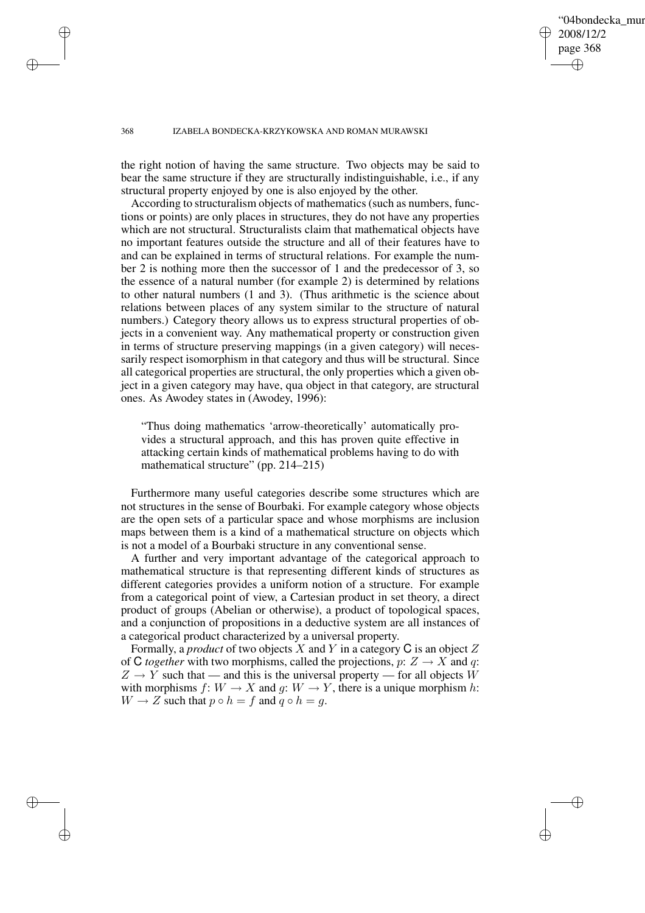## '04bondecka\_mur 2008/12/2 page 368 ✐ ✐

✐

✐

#### 368 IZABELA BONDECKA-KRZYKOWSKA AND ROMAN MURAWSKI

✐

✐

✐

✐

the right notion of having the same structure. Two objects may be said to bear the same structure if they are structurally indistinguishable, i.e., if any structural property enjoyed by one is also enjoyed by the other.

According to structuralism objects of mathematics(such as numbers, functions or points) are only places in structures, they do not have any properties which are not structural. Structuralists claim that mathematical objects have no important features outside the structure and all of their features have to and can be explained in terms of structural relations. For example the number 2 is nothing more then the successor of 1 and the predecessor of 3, so the essence of a natural number (for example 2) is determined by relations to other natural numbers (1 and 3). (Thus arithmetic is the science about relations between places of any system similar to the structure of natural numbers.) Category theory allows us to express structural properties of objects in a convenient way. Any mathematical property or construction given in terms of structure preserving mappings (in a given category) will necessarily respect isomorphism in that category and thus will be structural. Since all categorical properties are structural, the only properties which a given object in a given category may have, qua object in that category, are structural ones. As Awodey states in (Awodey, 1996):

"Thus doing mathematics 'arrow-theoretically' automatically provides a structural approach, and this has proven quite effective in attacking certain kinds of mathematical problems having to do with mathematical structure" (pp. 214–215)

Furthermore many useful categories describe some structures which are not structures in the sense of Bourbaki. For example category whose objects are the open sets of a particular space and whose morphisms are inclusion maps between them is a kind of a mathematical structure on objects which is not a model of a Bourbaki structure in any conventional sense.

A further and very important advantage of the categorical approach to mathematical structure is that representing different kinds of structures as different categories provides a uniform notion of a structure. For example from a categorical point of view, a Cartesian product in set theory, a direct product of groups (Abelian or otherwise), a product of topological spaces, and a conjunction of propositions in a deductive system are all instances of a categorical product characterized by a universal property.

Formally, a *product* of two objects  $X$  and  $Y$  in a category  $C$  is an object  $Z$ of C *together* with two morphisms, called the projections,  $p: Z \to X$  and q:  $Z \rightarrow Y$  such that — and this is the universal property — for all objects W with morphisms  $f: W \to X$  and  $g: W \to Y$ , there is a unique morphism h:  $W \rightarrow Z$  such that  $p \circ h = f$  and  $q \circ h = g$ .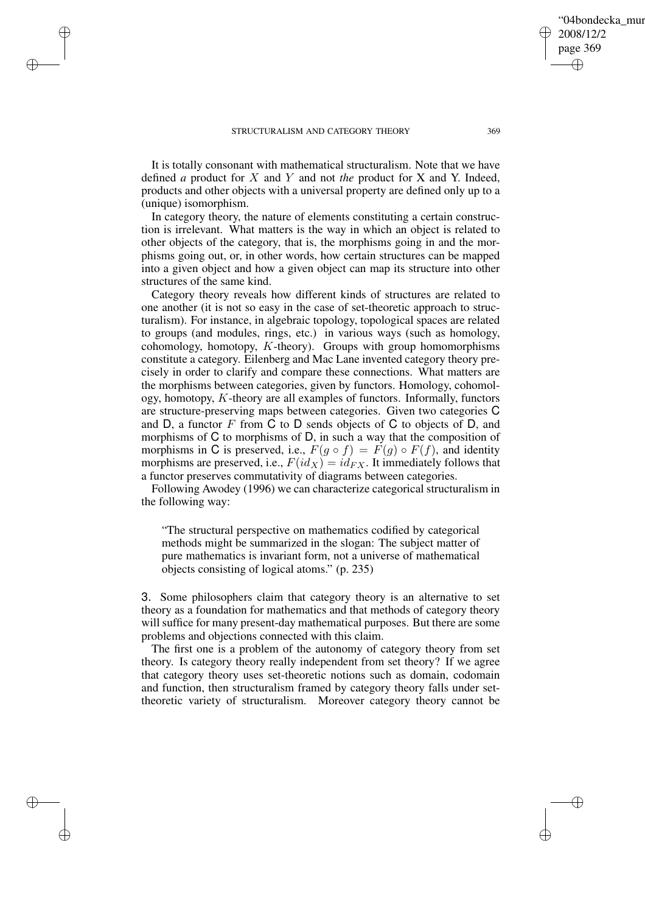✐

✐

✐

It is totally consonant with mathematical structuralism. Note that we have defined *a* product for X and Y and not *the* product for X and Y. Indeed, products and other objects with a universal property are defined only up to a (unique) isomorphism.

In category theory, the nature of elements constituting a certain construction is irrelevant. What matters is the way in which an object is related to other objects of the category, that is, the morphisms going in and the morphisms going out, or, in other words, how certain structures can be mapped into a given object and how a given object can map its structure into other structures of the same kind.

Category theory reveals how different kinds of structures are related to one another (it is not so easy in the case of set-theoretic approach to structuralism). For instance, in algebraic topology, topological spaces are related to groups (and modules, rings, etc.) in various ways (such as homology, cohomology, homotopy,  $K$ -theory). Groups with group homomorphisms constitute a category. Eilenberg and Mac Lane invented category theory precisely in order to clarify and compare these connections. What matters are the morphisms between categories, given by functors. Homology, cohomol $o$ gy, homotopy,  $K$ -theory are all examples of functors. Informally, functors are structure-preserving maps between categories. Given two categories C and D, a functor  $F$  from  $\overline{C}$  to D sends objects of C to objects of D, and morphisms of C to morphisms of D, in such a way that the composition of morphisms in C is preserved, i.e.,  $F(g \circ f) = F(g) \circ F(f)$ , and identity morphisms are preserved, i.e.,  $F(id_X) = id_{FX}$ . It immediately follows that a functor preserves commutativity of diagrams between categories.

Following Awodey (1996) we can characterize categorical structuralism in the following way:

"The structural perspective on mathematics codified by categorical methods might be summarized in the slogan: The subject matter of pure mathematics is invariant form, not a universe of mathematical objects consisting of logical atoms." (p. 235)

3. Some philosophers claim that category theory is an alternative to set theory as a foundation for mathematics and that methods of category theory will suffice for many present-day mathematical purposes. But there are some problems and objections connected with this claim.

The first one is a problem of the autonomy of category theory from set theory. Is category theory really independent from set theory? If we agree that category theory uses set-theoretic notions such as domain, codomain and function, then structuralism framed by category theory falls under settheoretic variety of structuralism. Moreover category theory cannot be

'04bondecka\_mur

2008/12/2 page 369

✐

✐

✐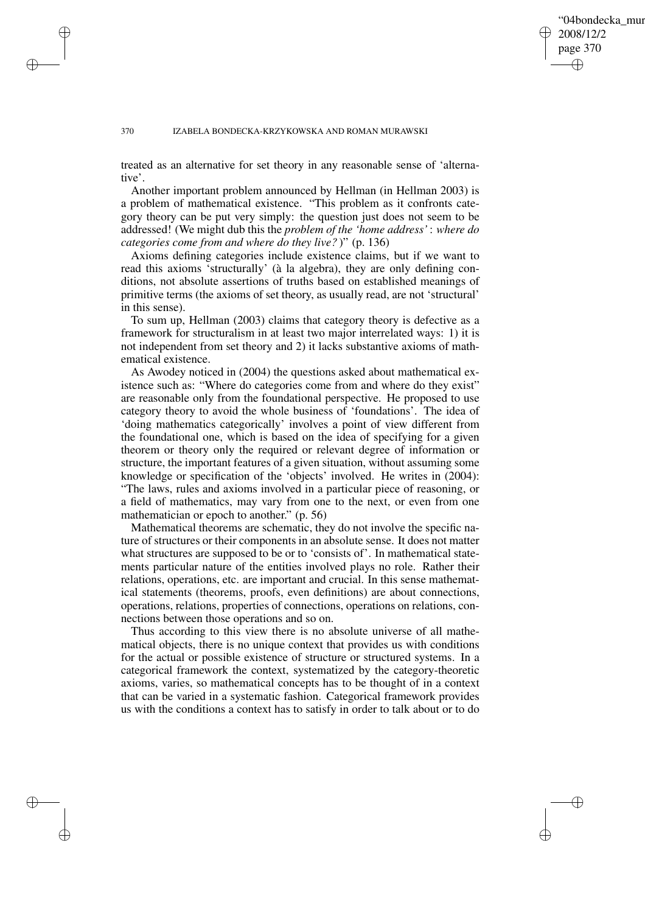✐

#### 370 IZABELA BONDECKA-KRZYKOWSKA AND ROMAN MURAWSKI

✐

✐

✐

✐

treated as an alternative for set theory in any reasonable sense of 'alternative'.

Another important problem announced by Hellman (in Hellman 2003) is a problem of mathematical existence. "This problem as it confronts category theory can be put very simply: the question just does not seem to be addressed! (We might dub this the *problem of the 'home address'*: *where do categories come from and where do they live?* )" (p. 136)

Axioms defining categories include existence claims, but if we want to read this axioms 'structurally' (à la algebra), they are only defining conditions, not absolute assertions of truths based on established meanings of primitive terms (the axioms of set theory, as usually read, are not 'structural' in this sense).

To sum up, Hellman (2003) claims that category theory is defective as a framework for structuralism in at least two major interrelated ways: 1) it is not independent from set theory and 2) it lacks substantive axioms of mathematical existence.

As Awodey noticed in (2004) the questions asked about mathematical existence such as: "Where do categories come from and where do they exist" are reasonable only from the foundational perspective. He proposed to use category theory to avoid the whole business of 'foundations'. The idea of 'doing mathematics categorically' involves a point of view different from the foundational one, which is based on the idea of specifying for a given theorem or theory only the required or relevant degree of information or structure, the important features of a given situation, without assuming some knowledge or specification of the 'objects' involved. He writes in (2004): "The laws, rules and axioms involved in a particular piece of reasoning, or a field of mathematics, may vary from one to the next, or even from one mathematician or epoch to another." (p. 56)

Mathematical theorems are schematic, they do not involve the specific nature of structures or their components in an absolute sense. It does not matter what structures are supposed to be or to 'consists of'. In mathematical statements particular nature of the entities involved plays no role. Rather their relations, operations, etc. are important and crucial. In this sense mathematical statements (theorems, proofs, even definitions) are about connections, operations, relations, properties of connections, operations on relations, connections between those operations and so on.

Thus according to this view there is no absolute universe of all mathematical objects, there is no unique context that provides us with conditions for the actual or possible existence of structure or structured systems. In a categorical framework the context, systematized by the category-theoretic axioms, varies, so mathematical concepts has to be thought of in a context that can be varied in a systematic fashion. Categorical framework provides us with the conditions a context has to satisfy in order to talk about or to do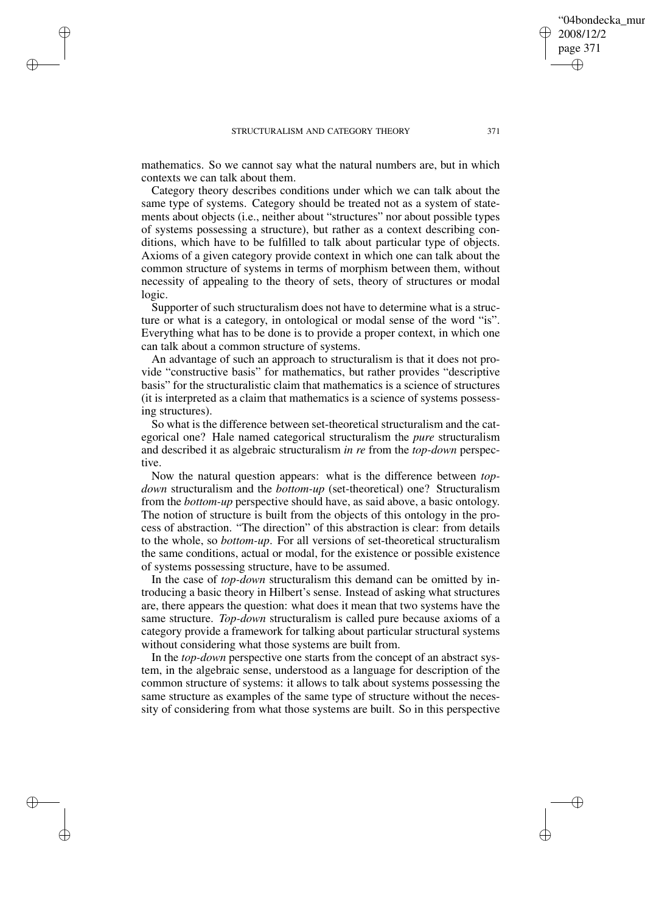✐

✐

✐

mathematics. So we cannot say what the natural numbers are, but in which contexts we can talk about them.

Category theory describes conditions under which we can talk about the same type of systems. Category should be treated not as a system of statements about objects (i.e., neither about "structures" nor about possible types of systems possessing a structure), but rather as a context describing conditions, which have to be fulfilled to talk about particular type of objects. Axioms of a given category provide context in which one can talk about the common structure of systems in terms of morphism between them, without necessity of appealing to the theory of sets, theory of structures or modal logic.

Supporter of such structuralism does not have to determine what is a structure or what is a category, in ontological or modal sense of the word "is". Everything what has to be done is to provide a proper context, in which one can talk about a common structure of systems.

An advantage of such an approach to structuralism is that it does not provide "constructive basis" for mathematics, but rather provides "descriptive basis" for the structuralistic claim that mathematics is a science of structures (it is interpreted as a claim that mathematics is a science of systems possessing structures).

So what is the difference between set-theoretical structuralism and the categorical one? Hale named categorical structuralism the *pure* structuralism and described it as algebraic structuralism *in re* from the *top-down* perspective.

Now the natural question appears: what is the difference between *topdown* structuralism and the *bottom-up* (set-theoretical) one? Structuralism from the *bottom-up* perspective should have, as said above, a basic ontology. The notion of structure is built from the objects of this ontology in the process of abstraction. "The direction" of this abstraction is clear: from details to the whole, so *bottom-up*. For all versions of set-theoretical structuralism the same conditions, actual or modal, for the existence or possible existence of systems possessing structure, have to be assumed.

In the case of *top-down* structuralism this demand can be omitted by introducing a basic theory in Hilbert's sense. Instead of asking what structures are, there appears the question: what does it mean that two systems have the same structure. *Top-down* structuralism is called pure because axioms of a category provide a framework for talking about particular structural systems without considering what those systems are built from.

In the *top-down* perspective one starts from the concept of an abstract system, in the algebraic sense, understood as a language for description of the common structure of systems: it allows to talk about systems possessing the same structure as examples of the same type of structure without the necessity of considering from what those systems are built. So in this perspective '04bondecka\_mur

2008/12/2 page 371

✐

✐

✐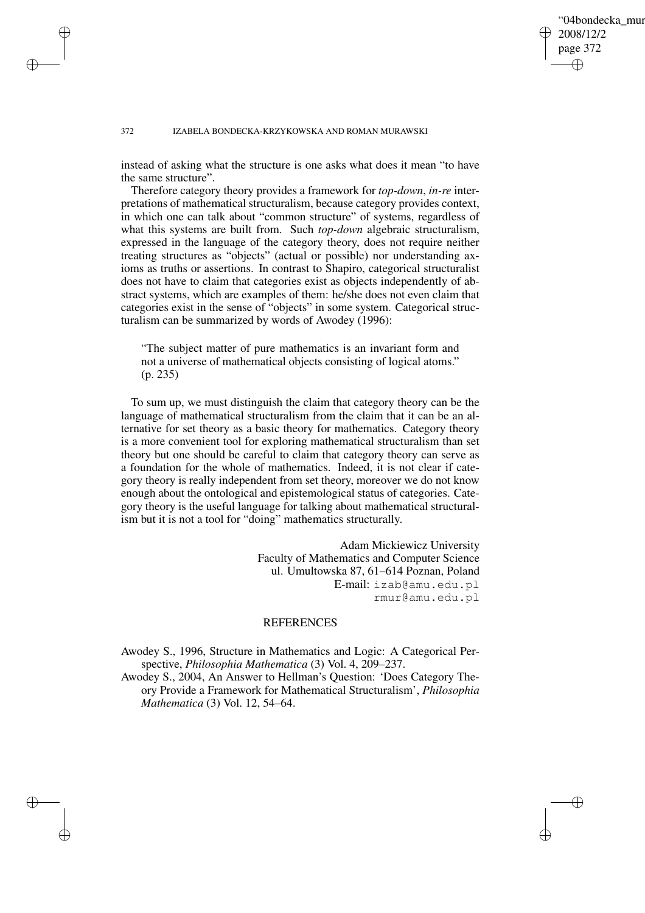## '04bondecka\_mur 2008/12/2 page 372 ✐ ✐

✐

✐

#### 372 IZABELA BONDECKA-KRZYKOWSKA AND ROMAN MURAWSKI

✐

✐

✐

✐

instead of asking what the structure is one asks what does it mean "to have the same structure".

Therefore category theory provides a framework for *top-down*, *in-re* interpretations of mathematical structuralism, because category provides context, in which one can talk about "common structure" of systems, regardless of what this systems are built from. Such *top-down* algebraic structuralism, expressed in the language of the category theory, does not require neither treating structures as "objects" (actual or possible) nor understanding axioms as truths or assertions. In contrast to Shapiro, categorical structuralist does not have to claim that categories exist as objects independently of abstract systems, which are examples of them: he/she does not even claim that categories exist in the sense of "objects" in some system. Categorical structuralism can be summarized by words of Awodey (1996):

"The subject matter of pure mathematics is an invariant form and not a universe of mathematical objects consisting of logical atoms." (p. 235)

To sum up, we must distinguish the claim that category theory can be the language of mathematical structuralism from the claim that it can be an alternative for set theory as a basic theory for mathematics. Category theory is a more convenient tool for exploring mathematical structuralism than set theory but one should be careful to claim that category theory can serve as a foundation for the whole of mathematics. Indeed, it is not clear if category theory is really independent from set theory, moreover we do not know enough about the ontological and epistemological status of categories. Category theory is the useful language for talking about mathematical structuralism but it is not a tool for "doing" mathematics structurally.

> Adam Mickiewicz University Faculty of Mathematics and Computer Science ul. Umultowska 87, 61–614 Poznan, Poland E-mail: izab@amu.edu.pl rmur@amu.edu.pl

#### REFERENCES

Awodey S., 1996, Structure in Mathematics and Logic: A Categorical Perspective, *Philosophia Mathematica* (3) Vol. 4, 209–237.

Awodey S., 2004, An Answer to Hellman's Question: 'Does Category Theory Provide a Framework for Mathematical Structuralism', *Philosophia Mathematica* (3) Vol. 12, 54–64.